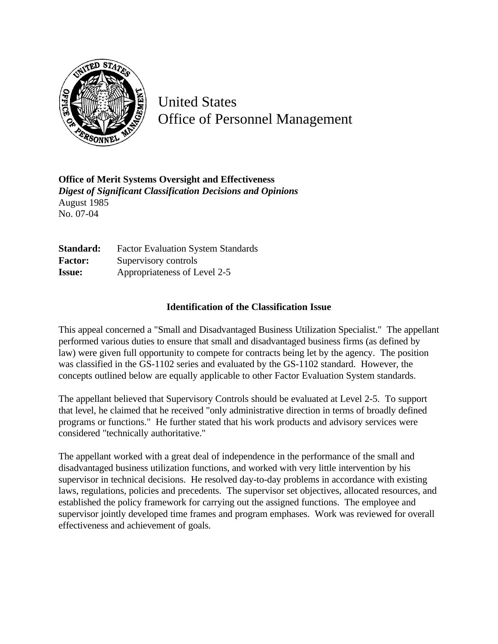

United States Office of Personnel Management

**Office of Merit Systems Oversight and Effectiveness** *Digest of Significant Classification Decisions and Opinions* August 1985 No. 07-04

**Standard:** Factor Evaluation System Standards Factor: Supervisory controls **Issue:** Appropriateness of Level 2-5

## **Identification of the Classification Issue**

This appeal concerned a "Small and Disadvantaged Business Utilization Specialist." The appellant performed various duties to ensure that small and disadvantaged business firms (as defined by law) were given full opportunity to compete for contracts being let by the agency. The position was classified in the GS-1102 series and evaluated by the GS-1102 standard. However, the concepts outlined below are equally applicable to other Factor Evaluation System standards.

The appellant believed that Supervisory Controls should be evaluated at Level 2-5. To support that level, he claimed that he received "only administrative direction in terms of broadly defined programs or functions." He further stated that his work products and advisory services were considered "technically authoritative."

The appellant worked with a great deal of independence in the performance of the small and disadvantaged business utilization functions, and worked with very little intervention by his supervisor in technical decisions. He resolved day-to-day problems in accordance with existing laws, regulations, policies and precedents. The supervisor set objectives, allocated resources, and established the policy framework for carrying out the assigned functions. The employee and supervisor jointly developed time frames and program emphases. Work was reviewed for overall effectiveness and achievement of goals.